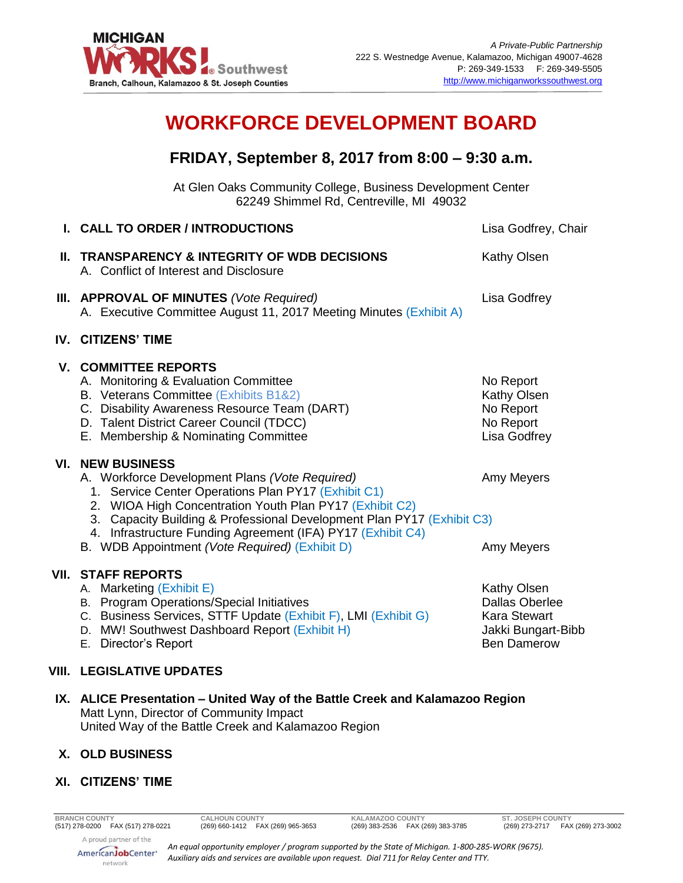

# **WORKFORCE DEVELOPMENT BOARD**

# **FRIDAY, September 8, 2017 from 8:00 – 9:30 a.m.**

At Glen Oaks Community College, Business Development Center 62249 Shimmel Rd, Centreville, MI 49032

| <b>I. CALL TO ORDER / INTRODUCTIONS</b>                                                                                                                                                                                                                                                                                                                                                | Lisa Godfrey, Chair                                                                                     |
|----------------------------------------------------------------------------------------------------------------------------------------------------------------------------------------------------------------------------------------------------------------------------------------------------------------------------------------------------------------------------------------|---------------------------------------------------------------------------------------------------------|
| II. TRANSPARENCY & INTEGRITY OF WDB DECISIONS<br>A. Conflict of Interest and Disclosure                                                                                                                                                                                                                                                                                                | <b>Kathy Olsen</b>                                                                                      |
| III. APPROVAL OF MINUTES (Vote Required)<br>A. Executive Committee August 11, 2017 Meeting Minutes (Exhibit A)                                                                                                                                                                                                                                                                         | Lisa Godfrey                                                                                            |
| <b>IV. CITIZENS' TIME</b>                                                                                                                                                                                                                                                                                                                                                              |                                                                                                         |
| <b>V. COMMITTEE REPORTS</b><br>A. Monitoring & Evaluation Committee<br>B. Veterans Committee (Exhibits B1&2)<br>C. Disability Awareness Resource Team (DART)<br>D. Talent District Career Council (TDCC)<br>E. Membership & Nominating Committee                                                                                                                                       | No Report<br>Kathy Olsen<br>No Report<br>No Report<br>Lisa Godfrey                                      |
| <b>VI. NEW BUSINESS</b><br>A. Workforce Development Plans (Vote Required)<br>1. Service Center Operations Plan PY17 (Exhibit C1)<br>2. WIOA High Concentration Youth Plan PY17 (Exhibit C2)<br>3. Capacity Building & Professional Development Plan PY17 (Exhibit C3)<br>4. Infrastructure Funding Agreement (IFA) PY17 (Exhibit C4)<br>B. WDB Appointment (Vote Required) (Exhibit D) | Amy Meyers<br>Amy Meyers                                                                                |
| <b>VII. STAFF REPORTS</b><br>A. Marketing (Exhibit E)<br>B. Program Operations/Special Initiatives<br>C. Business Services, STTF Update (Exhibit F), LMI (Exhibit G)<br>D. MW! Southwest Dashboard Report (Exhibit H)<br>E. Director's Report                                                                                                                                          | Kathy Olsen<br><b>Dallas Oberlee</b><br><b>Kara Stewart</b><br>Jakki Bungart-Bibb<br><b>Ben Damerow</b> |
| <b>VIII. LEGISLATIVE UPDATES</b>                                                                                                                                                                                                                                                                                                                                                       |                                                                                                         |
|                                                                                                                                                                                                                                                                                                                                                                                        |                                                                                                         |

**IX. ALICE Presentation – United Way of the Battle Creek and Kalamazoo Region** Matt Lynn, Director of Community Impact United Way of the Battle Creek and Kalamazoo Region

## **X. OLD BUSINESS**

### **XI. CITIZENS' TIME**

*An equal opportunity employer / program supported by the State of Michigan. 1-800-285-WORK (9675). Auxiliary aids and services are available upon request. Dial 711 for Relay Center and TTY.*